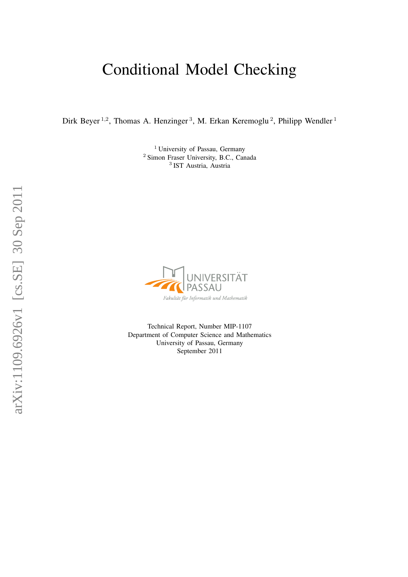# Conditional Model Checking

Dirk Beyer<sup>1,2</sup>, Thomas A. Henzinger<sup>3</sup>, M. Erkan Keremoglu<sup>2</sup>, Philipp Wendler<sup>1</sup>

<sup>1</sup> University of Passau, Germany <sup>2</sup> Simon Fraser University, B.C., Canada 3 IST Austria, Austria



Technical Report, Number MIP-1107 Department of Computer Science and Mathematics University of Passau, Germany September 2011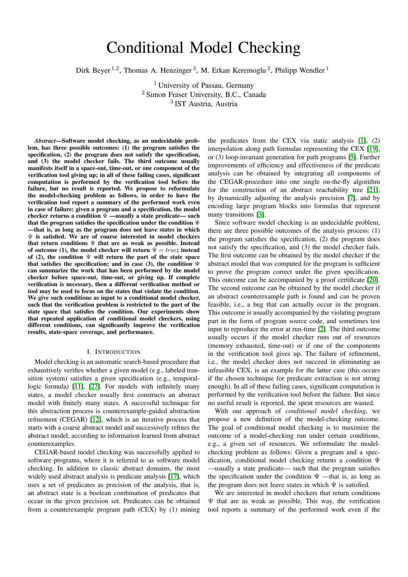# Conditional Model Checking

Dirk Beyer<sup>1,2</sup>, Thomas A. Henzinger<sup>3</sup>, M. Erkan Keremoglu<sup>2</sup>, Philipp Wendler<sup>1</sup>

<sup>1</sup> University of Passau, Germany <sup>2</sup> Simon Fraser University, B.C., Canada 3 IST Austria, Austria

*Abstract*—Software model checking, as an undecidable problem, has three possible outcomes: (1) the program satisfies the specification, (2) the program does not satisfy the specification, and (3) the model checker fails. The third outcome usually manifests itself in a space-out, time-out, or one component of the verification tool giving up; in all of these failing cases, significant computation is performed by the verification tool before the failure, but no result is reported. We propose to reformulate the model-checking problem as follows, in order to have the verification tool report a summary of the performed work even in case of failure: given a program and a specification, the model checker returns a condition  $\bar{\Psi}$  —usually a state predicate— such that the program satisfies the specification under the condition  $\Psi$ —that is, as long as the program does not leave states in which  $\Psi$  is satisfied. We are of course interested in model checkers that return conditions  $\Psi$  that are as weak as possible. Instead of outcome (1), the model checker will return  $\Psi = true$ ; instead of (2), the condition  $\Psi$  will return the part of the state space that satisfies the specification; and in case (3), the condition  $\Psi$ can summarize the work that has been performed by the model checker before space-out, time-out, or giving up. If complete verification is necessary, then a different verification method or tool may be used to focus on the states that violate the condition. We give such conditions as input to a conditional model checker, such that the verification problem is restricted to the part of the state space that satisfies the condition. Our experiments show that repeated application of conditional model checkers, using different conditions, can significantly improve the verification results, state-space coverage, and performance.

#### I. INTRODUCTION

Model checking is an automatic search-based procedure that exhaustively verifies whether a given model (e.g., labeled transition system) satisfies a given specification (e.g., temporallogic formula) [\[11\]](#page-13-0), [\[27\]](#page-13-1). For models with infinitely many states, a model checker usually first constructs an abstract model with finitely many states. A successful technique for this abstraction process is counterexample-guided abstraction refinement (CEGAR) [\[12\]](#page-13-2), which is an iterative process that starts with a coarse abstract model and successively refines the abstract model, according to information learned from abstract counterexamples.

CEGAR-based model checking was successfully applied to software programs, where it is referred to as software model checking. In addition to classic abstract domains, the most widely used abstract analysis is predicate analysis [\[17\]](#page-13-3), which uses a set of predicates as precision of the analysis, that is, an abstract state is a boolean combination of predicates that occur in the given precision set. Predicates can be obtained from a counterexample program path (CEX) by (1) mining

the predicates from the CEX via static analysis [\[1\]](#page-13-4), (2) interpolation along path formulas representing the CEX [\[19\]](#page-13-5), or (3) loop-invariant generation for path programs [\[5\]](#page-13-6). Further improvements of efficiency and effectiveness of the predicate analysis can be obtained by integrating all components of the CEGAR-procedure into one single on-the-fly algorithm for the construction of an abstract reachability tree [\[21\]](#page-13-7), by dynamically adjusting the analysis precision [\[7\]](#page-13-8), and by encoding large program blocks into formulas that represent many transitions [\[3\]](#page-13-9).

Since software model checking is an undecidable problem, there are three possible outcomes of the analysis process: (1) the program satisfies the specification, (2) the program does not satisfy the specification, and (3) the model checker fails. The first outcome can be obtained by the model checker if the abstract model that was computed for the program is sufficient to prove the program correct under the given specification. This outcome can be accompanied by a proof certificate [\[20\]](#page-13-10). The second outcome can be obtained by the model checker if an abstract counterexample path is found and can be proven feasible, i.e., a bug that can actually occur in the program. This outcome is usually accompanied by the violating program part in the form of program source code, and sometimes test input to reproduce the error at run-time [\[2\]](#page-13-11). The third outcome usually occurs if the model checker runs out of resources (memory exhausted, time-out) or if one of the components in the verification tool gives up. The failure of refinement, i.e., the model checker does not succeed in eliminating an infeasible CEX, is an example for the latter case (this occurs if the chosen technique for predicate extraction is not strong enough). In all of these failing cases, significant computation is performed by the verification tool before the failure. But since no useful result is reported, the spent resources are wasted.

With our approach of *conditional model checking*, we propose a new definition of the model-checking outcome. The goal of conditional model checking is to maximize the outcome of a model-checking run under certain conditions, e.g., a given set of resources. We reformulate the modelchecking problem as follows: Given a program and a specification, conditional model checking returns a condition Ψ —usually a state predicate— such that the program satisfies the specification under the condition  $\Psi$  —that is, as long as the program does not leave states in which  $\Psi$  is satisfied.

We are interested in model checkers that return conditions  $\Psi$  that are as weak as possible. This way, the verification tool reports a summary of the performed work even if the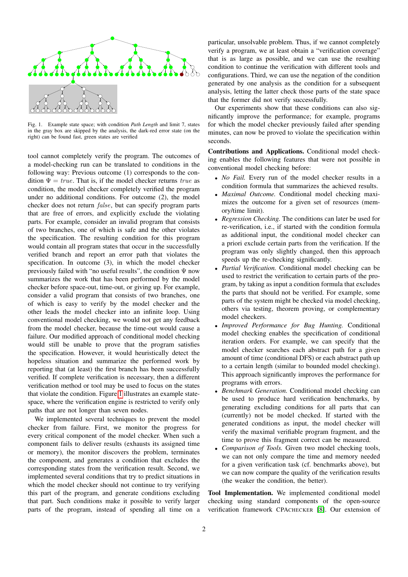

Fig. 1. Example state space; with condition *Path Length* and limit 7, states in the gray box are skipped by the analysis, the dark-red error state (on the right) can be found fast, green states are verified

<span id="page-2-0"></span>tool cannot completely verify the program. The outcomes of a model-checking run can be translated to conditions in the following way: Previous outcome (1) corresponds to the condition  $\Psi = true$ . That is, if the model checker returns true as condition, the model checker completely verified the program under no additional conditions. For outcome (2), the model checker does not return false, but can specify program parts that are free of errors, and explicitly exclude the violating parts. For example, consider an invalid program that consists of two branches, one of which is safe and the other violates the specification. The resulting condition for this program would contain all program states that occur in the successfully verified branch and report an error path that violates the specification. In outcome (3), in which the model checker previously failed with "no useful results", the condition  $\Psi$  now summarizes the work that has been performed by the model checker before space-out, time-out, or giving up. For example, consider a valid program that consists of two branches, one of which is easy to verify by the model checker and the other leads the model checker into an infinite loop. Using conventional model checking, we would not get any feedback from the model checker, because the time-out would cause a failure. Our modified approach of conditional model checking would still be unable to prove that the program satisfies the specification. However, it would heuristically detect the hopeless situation and summarize the performed work by reporting that (at least) the first branch has been successfully verified. If complete verification is necessary, then a different verification method or tool may be used to focus on the states that violate the condition. Figure [1](#page-2-0) illustrates an example statespace, where the verification engine is restricted to verify only paths that are not longer than seven nodes.

We implemented several techniques to prevent the model checker from failure. First, we monitor the progress for every critical component of the model checker. When such a component fails to deliver results (exhausts its assigned time or memory), the monitor discovers the problem, terminates the component, and generates a condition that excludes the corresponding states from the verification result. Second, we implemented several conditions that try to predict situations in which the model checker should not continue to try verifying this part of the program, and generate conditions excluding that part. Such conditions make it possible to verify larger parts of the program, instead of spending all time on a particular, unsolvable problem. Thus, if we cannot completely verify a program, we at least obtain a "verification coverage" that is as large as possible, and we can use the resulting condition to continue the verification with different tools and configurations. Third, we can use the negation of the condition generated by one analysis as the condition for a subsequent analysis, letting the latter check those parts of the state space that the former did not verify successfully.

Our experiments show that these conditions can also significantly improve the performance; for example, programs for which the model checker previously failed after spending minutes, can now be proved to violate the specification within seconds.

Contributions and Applications. Conditional model checking enables the following features that were not possible in conventional model checking before:

- *No Fail.* Every run of the model checker results in a condition formula that summarizes the achieved results.
- *Maximal Outcome.* Conditional model checking maximizes the outcome for a given set of resources (memory/time limit).
- *Regression Checking.* The conditions can later be used for re-verification, i.e., if started with the condition formula as additional input, the conditional model checker can a priori exclude certain parts from the verification. If the program was only slightly changed, then this approach speeds up the re-checking significantly.
- *Partial Verification.* Conditional model checking can be used to restrict the verification to certain parts of the program, by taking as input a condition formula that excludes the parts that should not be verified. For example, some parts of the system might be checked via model checking, others via testing, theorem proving, or complementary model checkers.
- *Improved Performance for Bug Hunting.* Conditional model checking enables the specification of conditional iteration orders. For example, we can specify that the model checker searches each abstract path for a given amount of time (conditional DFS) or each abstract path up to a certain length (similar to bounded model checking). This approach significantly improves the performance for programs with errors.
- *Benchmark Generation.* Conditional model checking can be used to produce hard verification benchmarks, by generating excluding conditions for all parts that can (currently) not be model checked. If started with the generated conditions as input, the model checker will verify the maximal verifiable program fragment, and the time to prove this fragment correct can be measured.
- *Comparison of Tools.* Given two model checking tools, we can not only compare the time and memory needed for a given verification task (cf. benchmarks above), but we can now compare the quality of the verification results (the weaker the condition, the better).

Tool Implementation. We implemented conditional model checking using standard components of the open-source verification framework CPACHECKER [\[8\]](#page-13-12). Our extension of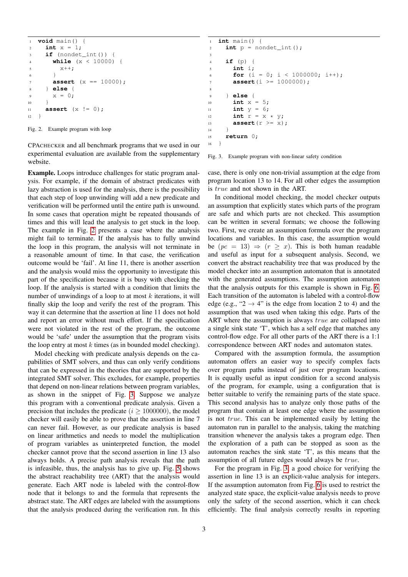```
1 void main() {
2 int x = 1;
3 if (nondet_int()) {
4 while (x < 10000) {
5 \times ++:
6 }
       assert (x == 10000);
8 } else {
       x = 0;10 }
11 assert (x != 0);
12 \quad \frac{1}{2}
```
<span id="page-3-0"></span>Fig. 2. Example program with loop

CPACHECKER and all benchmark programs that we used in our experimental evaluation are available from the supplementary website.

Example. Loops introduce challenges for static program analysis. For example, if the domain of abstract predicates with lazy abstraction is used for the analysis, there is the possibility that each step of loop unwinding will add a new predicate and verification will be performed until the entire path is unwound. In some cases that operation might be repeated thousands of times and this will lead the analysis to get stuck in the loop. The example in Fig. [2](#page-3-0) presents a case where the analysis might fail to terminate. If the analysis has to fully unwind the loop in this program, the analysis will not terminate in a reasonable amount of time. In that case, the verification outcome would be 'fail'. At line 11, there is another assertion and the analysis would miss the opportunity to investigate this part of the specification because it is busy with checking the loop. If the analysis is started with a condition that limits the number of unwindings of a loop to at most  $k$  iterations, it will finally skip the loop and verify the rest of the program. This way it can determine that the assertion at line 11 does not hold and report an error without much effort. If the specification were not violated in the rest of the program, the outcome would be 'safe' under the assumption that the program visits the loop entry at most  $k$  times (as in bounded model checking).

Model checking with predicate analysis depends on the capabilities of SMT solvers, and thus can only verify conditions that can be expressed in the theories that are supported by the integrated SMT solver. This excludes, for example, properties that depend on non-linear relations between program variables, as shown in the snippet of Fig. [3.](#page-3-1) Suppose we analyze this program with a conventional predicate analysis. Given a precision that includes the predicate  $(i > 1000000)$ , the model checker will easily be able to prove that the assertion in line 7 can never fail. However, as our predicate analysis is based on linear arithmetics and needs to model the multiplication of program variables as uninterpreted function, the model checker cannot prove that the second assertion in line 13 also always holds. A precise path analysis reveals that the path is infeasible, thus, the analysis has to give up. Fig. [5](#page-4-0) shows the abstract reachability tree (ART) that the analysis would generate. Each ART node is labeled with the control-flow node that it belongs to and the formula that represents the abstract state. The ART edges are labeled with the assumptions that the analysis produced during the verification run. In this

```
1 int main() {
2 int p = nondet_int();
3
4 if (p) {
5 int i;
6 for (i = 0; i < 1000000; i++);
7 assert (i >= 1000000);
8
9 } else {
10 int x = 5;
11 int y = 6;
12 int r = x * y;13 assert (r \geq x);14 }
15 return 0;
16 }
```
<span id="page-3-1"></span>

case, there is only one non-trivial assumption at the edge from program location 13 to 14. For all other edges the assumption is true and not shown in the ART.

In conditional model checking, the model checker outputs an assumption that explicitly states which parts of the program are safe and which parts are not checked. This assumption can be written in several formats; we choose the following two. First, we create an assumption formula over the program locations and variables. In this case, the assumption would be  $(pc = 13) \Rightarrow (r \geq x)$ . This is both human readable and useful as input for a subsequent analysis. Second, we convert the abstract reachability tree that was produced by the model checker into an assumption automaton that is annotated with the generated assumptions. The assumption automaton that the analysis outputs for this example is shown in Fig. [6.](#page-4-1) Each transition of the automaton is labeled with a control-flow edge (e.g., " $2 \rightarrow 4$ " is the edge from location 2 to 4) and the assumption that was used when taking this edge. Parts of the ART where the assumption is always true are collapsed into a single sink state 'T', which has a self edge that matches any control-flow edge. For all other parts of the ART there is a 1:1 correspondence between ART nodes and automaton states.

Compared with the assumption formula, the assumption automaton offers an easier way to specify complex facts over program paths instead of just over program locations. It is equally useful as input condition for a second analysis of the program, for example, using a configuration that is better suitable to verify the remaining parts of the state space. This second analysis has to analyze only those paths of the program that contain at least one edge where the assumption is not true. This can be implemented easily by letting the automaton run in parallel to the analysis, taking the matching transition whenever the analysis takes a program edge. Then the exploration of a path can be stopped as soon as the automaton reaches the sink state 'T', as this means that the assumption of all future edges would always be true.

For the program in Fig. [3,](#page-3-1) a good choice for verifying the assertion in line 13 is an explicit-value analysis for integers. If the assumption automaton from Fig. [6](#page-4-1) is used to restrict the analyzed state space, the explicit-value analysis needs to prove only the safety of the second assertion, which it can check efficiently. The final analysis correctly results in reporting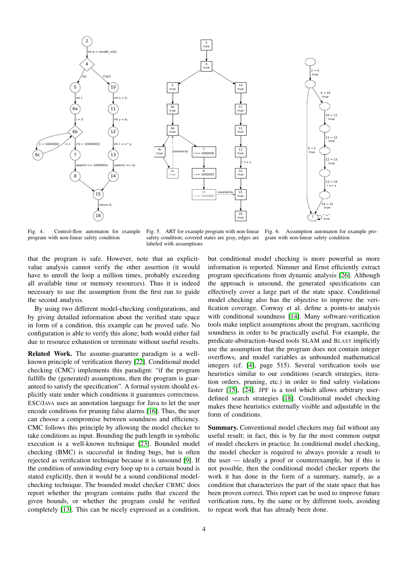





Fig. 4. Control-flow automaton for example program with non-linear safety condition

<span id="page-4-0"></span>Fig. 5. ART for example program with non-linear Fig. 6. Assumption automaton for example prosafety condition; covered states are gray, edges are labeled with assumptions

<span id="page-4-1"></span>gram with non-linear safety condition

that the program is safe. However, note that an explicitvalue analysis cannot verify the other assertion (it would have to unroll the loop a million times, probably exceeding all available time or memory resources). Thus it is indeed necessary to use the assumption from the first run to guide the second analysis.

By using two different model-checking configurations, and by giving detailed information about the verified state space in form of a condition, this example can be proved safe. No configuration is able to verify this alone; both would either fail due to resource exhaustion or terminate without useful results.

Related Work. The assume-guarantee paradigm is a wellknown principle of verification theory [\[22\]](#page-13-13). Conditional model checking (CMC) implements this paradigm: "if the program fulfills the (generated) assumptions, then the program is guaranteed to satisfy the specification". A formal system should explicitly state under which conditions it guarantees correctness. ESC/JAVA uses an annotation language for Java to let the user encode conditions for pruning false alarms [\[16\]](#page-13-14). Thus, the user can choose a compromise between soundness and efficiency. CMC follows this principle by allowing the model checker to take conditions as input. Bounding the path length in symbolic execution is a well-known technique [\[23\]](#page-13-15). Bounded model checking (BMC) is successful in finding bugs, but is often rejected as verification technique because it is unsound [\[9\]](#page-13-16). If the condition of unwinding every loop up to a certain bound is stated explicitly, then it would be a sound conditional modelchecking technique. The bounded model checker CBMC does report whether the program contains paths that exceed the given bounds, or whether the program could be verified completely [\[13\]](#page-13-17). This can be nicely expressed as a condition,

but conditional model checking is more powerful as more information is reported. Nimmer and Ernst efficiently extract program specifications from dynamic analysis [\[26\]](#page-13-18). Although the approach is unsound, the generated specifications can effectively cover a large part of the state space. Conditional model checking also has the objective to improve the verification coverage. Conway et al. define a points-to analysis with conditional soundness [\[14\]](#page-13-19). Many software-verification tools make implicit assumptions about the program, sacrificing soundness in order to be practically useful. For example, the predicate-abstraction–based tools SLAM and BLAST implicitly use the assumption that the program does not contain integer overflows, and model variables as unbounded mathematical integers (cf. [\[4\]](#page-13-20), page 515). Several verification tools use heuristics similar to our conditions (search strategies, iteration orders, pruning, etc.) in order to find safety violations faster [\[15\]](#page-13-21), [\[24\]](#page-13-22). JPF is a tool which allows arbitrary userdefined search strategies [\[18\]](#page-13-23). Conditional model checking makes these heuristics externally visible and adjustable in the form of conditions.

Summary. Conventional model checkers may fail without any useful result; in fact, this is by far the most common output of model checkers in practice. In conditional model checking, the model checker is required to always provide a result to the user — ideally a proof or counterexample, but if this is not possible, then the conditional model checker reports the work it has done in the form of a summary, namely, as a condition that characterizes the part of the state space that has been proven correct. This report can be used to improve future verification runs, by the same or by different tools, avoiding to repeat work that has already been done.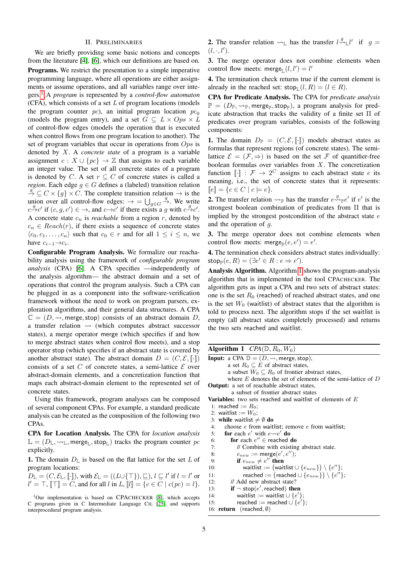#### II. PRELIMINARIES

We are briefly providing some basic notions and concepts from the literature [\[4\]](#page-13-20), [\[6\]](#page-13-24), which our definitions are based on. Programs. We restrict the presentation to a simple imperative programming language, where all operations are either assignments or assume operations, and all variables range over integers.[1](#page-5-0) A *program* is represented by a *control-flow automaton*  $(CFA)$ , which consists of a set  $L$  of program locations (models the program counter pc), an initial program location  $pc<sub>0</sub>$ (models the program entry), and a set  $G \subseteq L \times Ops \times L$ of control-flow edges (models the operation that is executed when control flows from one program location to another). The set of program variables that occur in operations from  $Ops$  is denoted by X. A *concrete state* of a program is a variable assignment  $c : X \cup \{pc\} \rightarrow \mathbb{Z}$  that assigns to each variable an integer value. The set of all concrete states of a program is denoted by C. A set  $r \subseteq C$  of concrete states is called a *region*. Each edge  $g \in G$  defines a (labeled) transition relation  $\stackrel{g}{\to} \subseteq C \times \{g\} \times C$ . The complete transition relation  $\to$  is the union over all control-flow edges:  $\rightarrow$  =  $\bigcup_{g \in G} \frac{g}{g}$ . We write  $c \xrightarrow{g} c'$  if  $(c, g, c') \in \rightarrow$ , and  $c \rightarrow c'$  if there exists a g with  $c \xrightarrow{g} c'$ . A concrete state  $c_n$  is *reachable* from a region  $r$ , denoted by  $c_n \in Reach(r)$ , if there exists a sequence of concrete states  $\langle c_0, c_1, \ldots, c_n \rangle$  such that  $c_0 \in r$  and for all  $1 \leq i \leq n$ , we have  $c_{i-1} \rightarrow c_i$ .

Configurable Program Analysis. We formalize our reachability analysis using the framework of *configurable program analysis* (CPA) [\[6\]](#page-13-24). A CPA specifies —independently of the analysis algorithm— the abstract domain and a set of operations that control the program analysis. Such a CPA can be plugged in as a component into the software-verification framework without the need to work on program parsers, exploration algorithms, and their general data structures. A CPA  $\mathbb{C} = (D, \leadsto, \text{merge}, \text{stop})$  consists of an abstract domain D, a transfer relation  $\rightsquigarrow$  (which computes abstract successor states), a merge operator merge (which specifies if and how to merge abstract states when control flow meets), and a stop operator stop (which specifies if an abstract state is covered by another abstract state). The abstract domain  $D = (C, \mathcal{E}, \lbrack \cdot \rbrack)$ consists of a set C of concrete states, a semi-lattice  $\mathcal E$  over abstract-domain elements, and a concretization function that maps each abstract-domain element to the represented set of concrete states.

Using this framework, program analyses can be composed of several component CPAs. For example, a standard predicate analysis can be created as the composition of the following two CPAs.

CPA for Location Analysis. The CPA for *location analysis*  $\mathbb{L} = (D_{\mathbb{L}}, \leadsto_{\mathbb{L}}, \text{merge}_{\mathbb{L}}, \text{stop}_{\mathbb{L}})$  tracks the program counter pc explicitly.

1. The domain  $D_{\mathbb{L}}$  is based on the flat lattice for the set L of program locations:

 $D_{\mathbb{L}} = (C, \mathcal{E}_{\mathbb{L}}, [\![\cdot]\!])$ , with  $\mathcal{E}_{\mathbb{L}} = ((L \cup \{\top\}), \sqsubseteq), l \sqsubseteq l'$  if  $l = l'$  or  $l' = \top$ ,  $[\top] = C$ , and for all l in L,  $[l] = \{c \in C \mid c(pc) = l\}.$ 

<span id="page-5-0"></span><sup>1</sup>Our implementation is based on CPACHECKER [\[8\]](#page-13-12), which accepts C programs given in C Intermediate Language CIL [\[25\]](#page-13-25), and supports interprocedural program analysis.

**2.** The transfer relation  $\leadsto_{\mathbb{L}}$  has the transfer  $l \stackrel{g}{\leadsto}_{\mathbb{L}} l'$  if  $g =$  $(l, \cdot, l').$ 

3. The merge operator does not combine elements when control flow meets: merge<sub>L</sub> $(l, l') = l'$ 

4. The termination check returns true if the current element is already in the reached set:  $\mathsf{stop}_{\mathbb{L}}(l, R) = (l \in R)$ .

CPA for Predicate Analysis. The CPA for *predicate analysis*  $\mathbb{P} = (D_{\mathbb{P}}, \leadsto_{\mathbb{P}}, \text{merge}_{\mathbb{P}}, \text{stop}_{\mathbb{P}}),$  a program analysis for predicate abstraction that tracks the validity of a finite set Π of predicates over program variables, consists of the following components:

**1.** The domain  $D_{\mathbb{P}} = (C, \mathcal{E}, \lbrack \cdot \rbrack)$  models abstract states as formulas that represent regions (of concrete states). The semilattice  $\mathcal{E} = (\mathcal{F}, \Rightarrow)$  is based on the set  $\mathcal F$  of quantifier-free boolean formulas over variables from  $X$ . The concretization function  $\llbracket \cdot \rrbracket : \mathcal{F} \to 2^C$  assigns to each abstract state e its meaning, i.e., the set of concrete states that it represents:  $[e] = \{c \in C \mid c \models e\}.$ 

**2.** The transfer relation  $\leadsto_{\mathbb{P}}$  has the transfer  $e \leadsto_{\mathbb{P}} e'$  if  $e'$  is the strongest boolean combination of predicates from Π that is implied by the strongest postcondition of the abstract state  $e$ and the operation of g.

3. The merge operator does not combine elements when control flow meets: merge $_P(e, e') = e'$ .

4. The termination check considers abstract states individually:  $\mathsf{stop}_\mathbb{P}(e,R) = (\exists e' \in R : e \Rightarrow e').$ 

Analysis Algorithm. Algorithm [1](#page-5-1) shows the program-analysis algorithm that is implemented in the tool CPACHECKER. The algorithm gets as input a CPA and two sets of abstract states: one is the set  $R_0$  (reached) of reached abstract states, and one is the set  $W_0$  (waitlist) of abstract states that the algorithm is told to process next. The algorithm stops if the set waitlist is empty (all abstract states completely processed) and returns the two sets reached and waitlist.

<span id="page-5-1"></span>

| <b>Algorithm 1</b> $CPA(\mathbb{D}, R_0, W_0)$                                        |
|---------------------------------------------------------------------------------------|
| <b>Input:</b> a CPA $\mathbb{D} = (D, \rightsquigarrow, \text{merge}, \text{stop})$ , |
| a set $R_0 \subseteq E$ of abstract states,                                           |
| a subset $W_0 \subseteq R_0$ of frontier abstract states,                             |
| where $E$ denotes the set of elements of the semi-lattice of $D$                      |
| <b>Output:</b> a set of reachable abstract states,                                    |
| a subset of frontier abstract states                                                  |
| <b>Variables:</b> two sets reached and waitlist of elements of $E$                    |
| 1: reached $:= R_0$ ;                                                                 |
| 2: waitlist := $W_0$ ;                                                                |
| 3: while waitlist $\neq \emptyset$ do                                                 |
| choose $e$ from waitlist; remove $e$ from waitlist;<br>4:                             |
| <b>for</b> each e' with $e \rightarrow e'$ do<br>5:                                   |
| for each $e'' \in$ reached do<br>6:                                                   |
| // Combine with existing abstract state.<br>7:                                        |
| $e_{new} := \text{merge}(e', e'')$ ;<br>8:                                            |
| if $e_{new} \neq e''$ then<br>9:                                                      |
| waitlist := (waitlist $\cup$ { $e_{new}$ }) \{ $e''$ };<br>10:                        |
| reached := (reached $\cup$ { $e_{new}$ }) \ { $e''$ };<br>11:                         |
| // Add new abstract state?<br>12:                                                     |
| if $\neg$ stop(e', reached) then<br>13:                                               |
| waitlist := waitlist $\cup \{e'\};$<br>14:                                            |
| reached := reached $\cup$ { $e'$ };<br>15:                                            |
| 16: <b>return</b> (reached, $\emptyset$ )                                             |
|                                                                                       |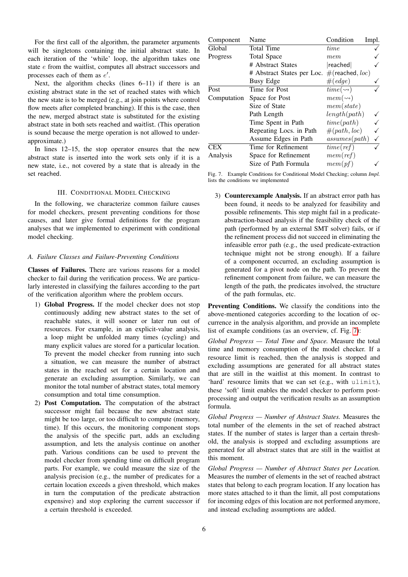For the first call of the algorithm, the parameter arguments will be singletons containing the initial abstract state. In each iteration of the 'while' loop, the algorithm takes one state e from the waitlist, computes all abstract successors and processes each of them as  $e'$ .

Next, the algorithm checks (lines 6–11) if there is an existing abstract state in the set of reached states with which the new state is to be merged (e.g., at join points where control flow meets after completed branching). If this is the case, then the new, merged abstract state is substituted for the existing abstract state in both sets reached and waitlist. (This operation is sound because the merge operation is not allowed to underapproximate.)

In lines 12–15, the stop operator ensures that the new abstract state is inserted into the work sets only if it is a new state, i.e., not covered by a state that is already in the set reached.

# III. CONDITIONAL MODEL CHECKING

In the following, we characterize common failure causes for model checkers, present preventing conditions for those causes, and later give formal definitions for the program analyses that we implemented to experiment with conditional model checking.

#### <span id="page-6-1"></span>*A. Failure Classes and Failure-Preventing Conditions*

Classes of Failures. There are various reasons for a model checker to fail during the verification process. We are particularly interested in classifying the failures according to the part of the verification algorithm where the problem occurs.

- 1) Global Progress. If the model checker does not stop continuously adding new abstract states to the set of reachable states, it will sooner or later run out of resources. For example, in an explicit-value analysis, a loop might be unfolded many times (cycling) and many explicit values are stored for a particular location. To prevent the model checker from running into such a situation, we can measure the number of abstract states in the reached set for a certain location and generate an excluding assumption. Similarly, we can monitor the total number of abstract states, total memory consumption and total time consumption.
- 2) Post Computation. The computation of the abstract successor might fail because the new abstract state might be too large, or too difficult to compute (memory, time). If this occurs, the monitoring component stops the analysis of the specific part, adds an excluding assumption, and lets the analysis continue on another path. Various conditions can be used to prevent the model checker from spending time on difficult program parts. For example, we could measure the size of the analysis precision (e.g., the number of predicates for a certain location exceeds a given threshold, which makes in turn the computation of the predicate abstraction expensive) and stop exploring the current successor if a certain threshold is exceeded.

| Component   | Name                       | Condition               | Impl.        |
|-------------|----------------------------|-------------------------|--------------|
| Global      | <b>Total Time</b>          | time                    |              |
| Progress    | <b>Total Space</b>         | mem                     |              |
|             | # Abstract States          | read                    |              |
|             | # Abstract States per Loc. | $#$ (reached, loc)      |              |
|             | <b>Busy Edge</b>           | $#(\text{edge})$        |              |
| Post        | Time for Post              | $time(\rightarrowtail)$ |              |
| Computation | Space for Post             | $mem(\rightarrowtail)$  |              |
|             | Size of State              | mem(state)              |              |
|             | Path Length                | length(path)            |              |
|             | Time Spent in Path         | time(path)              | $\checkmark$ |
|             | Repeating Locs. in Path    | #(path, loc)            | $\checkmark$ |
|             | Assume Edges in Path       | assumes(path)           | ✓            |
| CEX         | Time for Refinement        | time(ref)               |              |
| Analysis    | Space for Refinement       | mem(ref)                |              |
|             | Size of Path Formula       | mem(pf)                 |              |

<span id="page-6-0"></span>Fig. 7. Example Conditions for Conditional Model Checking; column *Impl.* lists the conditions we implemented

3) Counterexample Analysis. If an abstract error path has been found, it needs to be analyzed for feasibility and possible refinements. This step might fail in a predicateabstraction-based analysis if the feasibility check of the path (performed by an external SMT solver) fails, or if the refinement process did not succeed in eliminating the infeasible error path (e.g., the used predicate-extraction technique might not be strong enough). If a failure of a component occurred, an excluding assumption is generated for a pivot node on the path. To prevent the refinement component from failure, we can measure the length of the path, the predicates involved, the structure of the path formulas, etc.

Preventing Conditions. We classify the conditions into the above-mentioned categories according to the location of occurrence in the analysis algorithm, and provide an incomplete list of example conditions (as an overview, cf. Fig. [7\)](#page-6-0):

*Global Progress — Total Time and Space.* Measure the total time and memory consumption of the model checker. If a resource limit is reached, then the analysis is stopped and excluding assumptions are generated for all abstract states that are still in the waitlist at this moment. In contrast to 'hard' resource limits that we can set (e.g., with ulimit), these 'soft' limit enables the model checker to perform postprocessing and output the verification results as an assumption formula.

*Global Progress — Number of Abstract States.* Measures the total number of the elements in the set of reached abstract states. If the number of states is larger than a certain threshold, the analysis is stopped and excluding assumptions are generated for all abstract states that are still in the waitlist at this moment.

*Global Progress — Number of Abstract States per Location.* Measures the number of elements in the set of reached abstract states that belong to each program location. If any location has more states attached to it than the limit, all post computations for incoming edges of this location are not performed anymore, and instead excluding assumptions are added.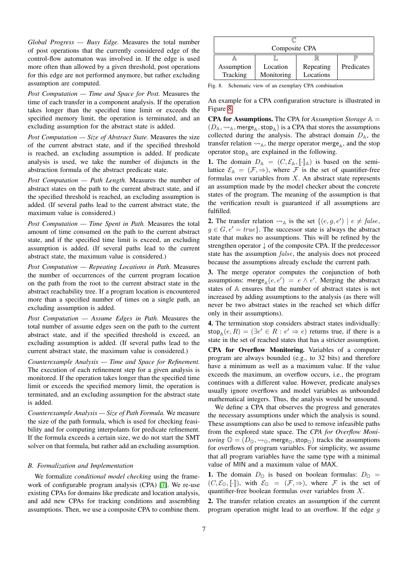*Global Progress — Busy Edge.* Measures the total number of post operations that the currently considered edge of the control-flow automaton was involved in. If the edge is used more often than allowed by a given threshold, post operations for this edge are not performed anymore, but rather excluding assumption are computed.

*Post Computation — Time and Space for Post.* Measures the time of each transfer in a component analysis. If the operation takes longer than the specified time limit or exceeds the specified memory limit, the operation is terminated, and an excluding assumption for the abstract state is added.

*Post Computation — Size of Abstract State.* Measures the size of the current abstract state, and if the specified threshold is reached, an excluding assumption is added. If predicate analysis is used, we take the number of disjuncts in the abstraction formula of the abstract predicate state.

*Post Computation — Path Length.* Measures the number of abstract states on the path to the current abstract state, and if the specified threshold is reached, an excluding assumption is added. (If several paths lead to the current abstract state, the maximum value is considered.)

*Post Computation — Time Spent in Path.* Measures the total amount of time consumed on the path to the current abstract state, and if the specified time limit is exceed, an excluding assumption is added. (If several paths lead to the current abstract state, the maximum value is considered.)

*Post Computation — Repeating Locations in Path.* Measures the number of occurrences of the current program location on the path from the root to the current abstract state in the abstract reachability tree. If a program location is encountered more than a specified number of times on a single path, an excluding assumption is added.

*Post Computation — Assume Edges in Path.* Measures the total number of assume edges seen on the path to the current abstract state, and if the specified threshold is exceed, an excluding assumption is added. (If several paths lead to the current abstract state, the maximum value is considered.)

*Counterexample Analysis — Time and Space for Refinement.* The execution of each refinement step for a given analysis is monitored. If the operation takes longer than the specified time limit or exceeds the specified memory limit, the operation is terminated, and an excluding assumption for the abstract state is added.

*Counterexample Analysis — Size of Path Formula.* We measure the size of the path formula, which is used for checking feasibility and for computing interpolants for predicate refinement. If the formula exceeds a certain size, we do not start the SMT solver on that formula, but rather add an excluding assumption.

#### *B. Formalization and Implementation*

We formalize *conditional model checking* using the framework of configurable program analysis (CPA) [\[7\]](#page-13-8). We re-use existing CPAs for domains like predicate and location analysis, and add new CPAs for tracking conditions and assembling assumptions. Then, we use a composite CPA to combine them.

| Composite CPA          |                        |                        |            |  |  |  |  |  |  |  |
|------------------------|------------------------|------------------------|------------|--|--|--|--|--|--|--|
|                        |                        |                        |            |  |  |  |  |  |  |  |
| Assumption<br>Tracking | Location<br>Monitoring | Repeating<br>Locations | Predicates |  |  |  |  |  |  |  |

<span id="page-7-0"></span>Fig. 8. Schematic view of an exemplary CPA combination

An example for a CPA configuration structure is illustrated in Figure [8.](#page-7-0)

**CPA for Assumptions.** The CPA for *Assumption Storage*  $A =$  $(D_A, \leadsto_A, \text{merge}_A, \text{stop}_A)$  is a CPA that stores the assumptions collected during the analysis. The abstract domain  $D_A$ , the transfer relation  $\rightsquigarrow_A$ , the merge operator merge<sub>A</sub>, and the stop operator stop $_A$  are explained in the following.

**1.** The domain  $D_{\mathbb{A}} = (C, \mathcal{E}_{\mathbb{A}}, [\![\cdot]\!]_{\mathbb{A}})$  is based on the semilattice  $\mathcal{E}_{\mathbb{A}} = (\mathcal{F}, \Rightarrow)$ , where  $\mathcal{F}$  is the set of quantifier-free formulas over variables from  $X$ . An abstract state represents an assumption made by the model checker about the concrete states of the program. The meaning of the assumption is that the verification result is guaranteed if all assumptions are fulfilled.

**2.** The transfer relation  $\rightsquigarrow_A$  is the set  $\{(e, g, e') \mid e \neq false\}$  $g \in G, e' = true$ . The successor state is always the abstract state that makes no assumptions. This will be refined by the strengthen operator ↓ of the composite CPA. If the predecessor state has the assumption *false*, the analysis does not proceed because the assumptions already exclude the current path.

3. The merge operator computes the conjunction of both assumptions: merge<sub> $\mathbb{A}(e, e') = e \wedge e'$ . Merging the abstract</sub> states of A ensures that the number of abstract states is not increased by adding assumptions to the analysis (as there will never be two abstract states in the reached set which differ only in their assumptions).

4. The termination stop considers abstract states individually: stop<sub>A</sub> $(e, R) = (\exists e' \in R : e' \Rightarrow e)$  returns true, if there is a state in the set of reached states that has a stricter assumption. CPA for Overflow Monitoring. Variables of a computer program are always bounded (e.g., to 32 bits) and therefore have a minimum as well as a maximum value. If the value exceeds the maximum, an overflow occurs, i.e., the program continues with a different value. However, predicate analyses usually ignore overflows and model variables as unbounded mathematical integers. Thus, the analysis would be unsound.

We define a CPA that observes the progress and generates the necessary assumptions under which the analysis is sound. These assumptions can also be used to remove infeasible paths from the explored state space. The *CPA for Overflow Monitoring*  $\mathbb{O} = (D_{\mathbb{O}}, \leadsto_{\mathbb{O}}, \text{merge}_{\mathbb{O}}, \text{stop}_{\mathbb{O}})$  tracks the assumptions for overflows of program variables. For simplicity, we assume that all program variables have the same type with a minimal value of MIN and a maximum value of MAX.

1. The domain  $D_{\mathbb{O}}$  is based on boolean formulas:  $D_{\mathbb{O}} =$  $(C, \mathcal{E}_{\mathbb{O}}, [\![\cdot]\!])$ , with  $\mathcal{E}_{\mathbb{O}} = (\mathcal{F}, \Rightarrow)$ , where  $\mathcal F$  is the set of quantifier-free boolean formulas over variables from X.

2. The transfer relation creates an assumption if the current program operation might lead to an overflow. If the edge  $q$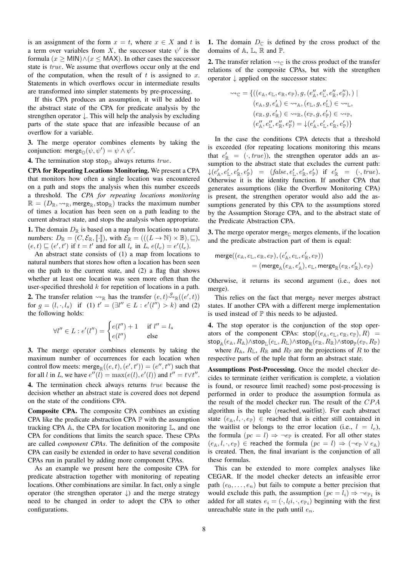is an assignment of the form  $x = t$ , where  $x \in X$  and t is a term over variables from X, the successor state  $\psi'$  is the formula  $(x \geq MIN) \wedge (x \leq MAX)$ . In other cases the successor state is true. We assume that overflows occur only at the end of the computation, when the result of  $t$  is assigned to  $x$ . Statements in which overflows occur in intermediate results are transformed into simpler statements by pre-processing.

If this CPA produces an assumption, it will be added to the abstract state of the CPA for predicate analysis by the strengthen operator ↓. This will help the analysis by excluding parts of the state space that are infeasible because of an overflow for a variable.

3. The merge operator combines elements by taking the conjunction: merge $_{\mathbb{Q}}(\psi, \psi') = \psi \wedge \psi'.$ 

**4.** The termination stop stop<sub> $\Omega$ </sub> always returns true.

CPA for Repeating Locations Monitoring. We present a CPA that monitors how often a single location was encountered on a path and stops the analysis when this number exceeds a threshold. The *CPA for repeating locations monitoring*  $\mathbb{R} = (D_{\mathbb{R}}, \leadsto_{\mathbb{R}}, \text{merge}_{\mathbb{R}}, \text{stop}_{\mathbb{R}})$  tracks the maximum number of times a location has been seen on a path leading to the current abstract state, and stops the analysis when appropriate. 1. The domain  $D_{\mathbb{R}}$  is based on a map from locations to natural

numbers:  $D_{\mathbb{R}} = (C, \mathcal{E}_{\mathbb{R}}, \llbracket \cdot \rrbracket)$ , with  $\mathcal{E}_{\mathbb{R}} = (((L \to \mathbb{N}) \times \mathbb{B}), \sqsubseteq),$  $(e, t) \sqsubseteq (e', t')$  if  $t = t'$  and for all  $l_e$  in  $L, e(l_e) = e'(l_e)$ .

An abstract state consists of (1) a map from locations to natural numbers that stores how often a location has been seen on the path to the current state, and (2) a flag that shows whether at least one location was seen more often than the user-specified threshold  $k$  for repetition of locations in a path. **2.** The transfer relation  $\leadsto_{\mathbb{R}}$  has the transfer  $(e, t) \stackrel{g}{\leadsto}_{\mathbb{R}} ((e', t))$ for  $g = (l, \cdot, l_s)$  if (1)  $t' = (\exists l'' \in L : e'(l'') > k)$  and (2) the following holds:

$$
\forall l'' \in L : e'(l'') = \begin{cases} e(l'') + 1 & \text{if } l'' = l_s \\ e(l'') & \text{else} \end{cases}
$$

3. The merge operator combines elements by taking the maximum number of occurrences for each location when control flow meets: merge $_{\mathbb{R}}((e,t),(e',t')) = (e'',t'')$  such that for all l in L, we have  $e''(l) = \max(e(l), e'(l))$  and  $t'' = t \vee t''$ . 4. The termination check always returns *true* because the decision whether an abstract state is covered does not depend on the state of the conditions CPA.

Composite CPA. The composite CPA combines an existing CPA like the predicate abstraction CPA  $\mathbb P$  with the assumption tracking CPA  $\mathbb A$ , the CPA for location monitoring  $\mathbb L$ , and one CPA for conditions that limits the search space. These CPAs are called *component CPAs*. The definition of the composite CPA can easily be extended in order to have several condition CPAs run in parallel by adding more component CPAs.

As an example we present here the composite CPA for predicate abstraction together with monitoring of repeating locations. Other combinations are similar. In fact, only a single operator (the strengthen operator  $\downarrow$ ) and the merge strategy need to be changed in order to adopt the CPA to other configurations.

1. The domain  $D_{\mathbb{C}}$  is defined by the cross product of the domains of  $A$ ,  $L$ ,  $R$  and  $P$ .

**2.** The transfer relation  $\rightsquigarrow_{\mathbb{C}}$  is the cross product of the transfer relations of the composite CPAs, but with the strengthen operator ↓ applied on the successor states:

$$
\begin{aligned} \sim_\mathbb{C} &= \left\{ \left( (e_\mathbb{A}, e_\mathbb{L}, e_\mathbb{R}, e_\mathbb{P}), g, (e''_\mathbb{A}, e''_\mathbb{L}, e''_\mathbb{R}, e''_\mathbb{P}), \right) \mid \\ & (e_\mathbb{A}, g, e'_\mathbb{A}) \in \sim_\mathbb{A}, (e_\mathbb{L}, g, e'_\mathbb{L}) \in \sim_\mathbb{L}, \\ & (e_\mathbb{R}, g, e'_\mathbb{R}) \in \sim_\mathbb{R}, (e_\mathbb{P}, g, e'_\mathbb{P}) \in \sim_\mathbb{P}, \\ & (e''_\mathbb{A}, e''_\mathbb{L}, e''_\mathbb{R}, e''_\mathbb{P}) = \downarrow (e'_\mathbb{A}, e'_\mathbb{L}, e'_\mathbb{R}, e'_\mathbb{P}) \right\} \end{aligned}
$$

In the case the conditions CPA detects that a threshold is exceeded (for repeating locations monitoring this means that  $e'_{\mathbb{R}} = (\cdot, true)$ , the strengthen operator adds an assumption to the abstract state that excludes the current path:  $\downarrow$ ( $e'_{\mathbb{A}}, e'_{\mathbb{L}}, e'_{\mathbb{P}}, e'_{\mathbb{P}}$ ) = (false,  $e'_{\mathbb{L}}, e'_{\mathbb{R}}, e'_{\mathbb{P}}$ ) if  $e'_{\mathbb{R}} = (\cdot, true)$ . Otherwise it is the identity function. If another CPA that generates assumptions (like the Overflow Monitoring CPA) is present, the strengthen operator would also add the assumptions generated by this CPA to the assumptions stored by the Assumption Storage CPA, and to the abstract state of the Predicate Abstraction CPA.

3. The merge operator merge<sub> $\Gamma$ </sub> merges elements, if the location and the predicate abstraction part of them is equal:

$$
\begin{aligned} \mathrm{merge}((e_\mathbb{A}, e_\mathbb{L}, e_\mathbb{R}, e_\mathbb{P}), (e'_\mathbb{A}, e_\mathbb{L}, e'_\mathbb{R}, e_\mathbb{P})) \\ = (\mathrm{merge}_\mathbb{A}(e_\mathbb{A}, e'_\mathbb{A}), e_\mathbb{L}, \mathrm{merge}_\mathbb{R}(e_\mathbb{R}, e'_\mathbb{R}), e_\mathbb{P}) \end{aligned}
$$

Otherwise, it returns its second argument (i.e., does not merge).

This relies on the fact that merge<sub>p</sub> never merges abstract states. If another CPA with a different merge implementation is used instead of  $\mathbb P$  this needs to be adjusted.

4. The stop operator is the conjunction of the stop operators of the component CPAs:  $\mathsf{stop}((e_\mathbb{A}, e_\mathbb{L}, e_\mathbb{R}, e_\mathbb{P}), R) =$  $\mathsf{stop}_\mathbb{A}(e_\mathbb{A}, R_\mathbb{A}) \land \mathsf{stop}_\mathbb{L}(e_\mathbb{L}, R_\mathbb{L}) \land \mathsf{stop}_\mathbb{R}(e_\mathbb{R}, R_\mathbb{R}) \land \mathsf{stop}_\mathbb{P}(e_\mathbb{P}, R_\mathbb{P})$ 

where  $R_{\mathbb{A}}, R_{\mathbb{L}}, R_{\mathbb{R}}$  and  $R_{\mathbb{P}}$  are the projections of R to the respective parts of the tuple that form an abstract state.

Assumptions Post-Processing. Once the model checker decides to terminate (either verification is complete, a violation is found, or resource limit reached) some post-processing is performed in order to produce the assumption formula as the result of the model checker run. The result of the CPA algorithm is the tuple (reached,waitlist). For each abstract state  $(e_{\mathbb{A}}, l, \cdot, e_{\mathbb{P}}) \in$  reached that is either still contained in the waitlist or belongs to the error location (i.e.,  $l = l_e$ ), the formula  $(pc = l) \Rightarrow \neg e_{\mathbb{P}}$  is created. For all other states  $(e_{\mathbb{A}}, l, \cdot, e_{\mathbb{P}}) \in$  reached the formula  $(pc = l) \Rightarrow (\neg e_{\mathbb{P}} \vee e_{\mathbb{A}})$ is created. Then, the final invariant is the conjunction of all these formulas.

This can be extended to more complex analyses like CEGAR. If the model checker detects an infeasible error path  $(e_0, \ldots, e_n)$  but fails to compute a better precision that would exclude this path, the assumption  $(pc = l_i) \Rightarrow \neg e_{\mathbb{P}_i}$  is added for all states  $e_i = (\cdot, l_i, \cdot, e_{\mathbb{P}_i})$  beginning with the first unreachable state in the path until  $e_n$ .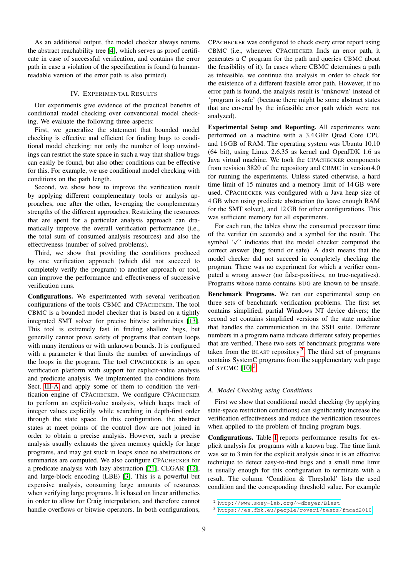As an additional output, the model checker always returns the abstract reachability tree [\[4\]](#page-13-20), which serves as proof certificate in case of successful verification, and contains the error path in case a violation of the specification is found (a humanreadable version of the error path is also printed).

### IV. EXPERIMENTAL RESULTS

Our experiments give evidence of the practical benefits of conditional model checking over conventional model checking. We evaluate the following three aspects:

First, we generalize the statement that bounded model checking is effective and efficient for finding bugs to conditional model checking: not only the number of loop unwindings can restrict the state space in such a way that shallow bugs can easily be found, but also other conditions can be effective for this. For example, we use conditional model checking with conditions on the path length.

Second, we show how to improve the verification result by applying different complementary tools or analysis approaches, one after the other, leveraging the complementary strengths of the different approaches. Restricting the resources that are spent for a particular analysis approach can dramatically improve the overall verification performance (i.e., the total sum of consumed analysis resources) and also the effectiveness (number of solved problems).

Third, we show that providing the conditions produced by one verification approach (which did not succeed to completely verify the program) to another approach or tool, can improve the performance and effectiveness of successive verification runs.

Configurations. We experimented with several verification configurations of the tools CBMC and CPACHECKER. The tool CBMC is a bounded model checker that is based on a tightly integrated SMT solver for precise bitwise arithmetics [\[13\]](#page-13-17). This tool is extremely fast in finding shallow bugs, but generally cannot prove safety of programs that contain loops with many iterations or with unknown bounds. It is configured with a parameter  $k$  that limits the number of unwindings of the loops in the program. The tool CPACHECKER is an open verification platform with support for explicit-value analysis and predicate analysis. We implemented the conditions from Sect. [III-A](#page-6-1) and apply some of them to condition the verification engine of CPACHECKER. We configure CPACHECKER to perform an explicit-value analysis, which keeps track of integer values explicitly while searching in depth-first order through the state space. In this configuration, the abstract states at meet points of the control flow are not joined in order to obtain a precise analysis. However, such a precise analysis usually exhausts the given memory quickly for large programs, and may get stuck in loops since no abstractions or summaries are computed. We also configure CPACHECKER for a predicate analysis with lazy abstraction [\[21\]](#page-13-7), CEGAR [\[12\]](#page-13-2), and large-block encoding (LBE) [\[3\]](#page-13-9). This is a powerful but expensive analysis, consuming large amounts of resources when verifying large programs. It is based on linear arithmetics in order to allow for Craig interpolation, and therefore cannot handle overflows or bitwise operators. In both configurations,

CPACHECKER was configured to check every error report using CBMC (i.e., whenever CPACHECKER finds an error path, it generates a C program for the path and queries CBMC about the feasibility of it). In cases where CBMC determines a path as infeasible, we continue the analysis in order to check for the existence of a different feasible error path. However, if no error path is found, the analysis result is 'unknown' instead of 'program is safe' (because there might be some abstract states that are covered by the infeasible error path which were not analyzed).

Experimental Setup and Reporting. All experiments were performed on a machine with a 3.4 GHz Quad Core CPU and 16 GB of RAM. The operating system was Ubuntu 10.10 (64 bit), using Linux 2.6.35 as kernel and OpenJDK 1.6 as Java virtual machine. We took the CPACHECKER components from revision 3820 of the repository and CBMC in version 4.0 for running the experiments. Unless stated otherwise, a hard time limit of 15 minutes and a memory limit of 14 GB were used. CPACHECKER was configured with a Java heap size of 4 GB when using predicate abstraction (to leave enough RAM for the SMT solver), and 12 GB for other configurations. This was sufficient memory for all experiments.

For each run, the tables show the consumed processor time of the verifier (in seconds) and a symbol for the result. The symbol  $\sqrt{y}$  indicates that the model checker computed the correct answer (bug found or safe). A dash means that the model checker did not succeed in completely checking the program. There was no experiment for which a verifier computed a wrong answer (no false-positives, no true-negatives). Programs whose name contains BUG are known to be unsafe.

Benchmark Programs. We ran our experimental setup on three sets of benchmark verification problems. The first set contains simplified, partial Windows NT device drivers; the second set contains simplified versions of the state machine that handles the communication in the SSH suite. Different numbers in a program name indicate different safety properties that are verified. These two sets of benchmark programs were taken from the BLAST repository<sup>[2](#page-9-0)</sup>. The third set of programs contains SystemC programs from the supplementary web page of SYCMC  $[10]$ <sup>[3](#page-9-1)</sup>.

## *A. Model Checking using Conditions*

First we show that conditional model checking (by applying state-space restriction conditions) can significantly increase the verification effectiveness and reduce the verification resources when applied to the problem of finding program bugs.

Configurations. Table [I](#page-10-0) reports performance results for explicit analysis for programs with a known bug. The time limit was set to 3 min for the explicit analysis since it is an effective technique to detect easy-to-find bugs and a small time limit is usually enough for this configuration to terminate with a result. The column 'Condition & Threshold' lists the used condition and the corresponding threshold value. For example

<span id="page-9-0"></span><sup>2</sup> [http://www.sosy-lab.org/](http://www.sosy-lab.org/~dbeyer/Blast/)∼dbeyer/Blast

<span id="page-9-1"></span><sup>3</sup> [https://es.fbk.eu/people/roveri/tests/fmcad2010](https://es.fbk.eu/people/roveri/tests/fmcad2010/)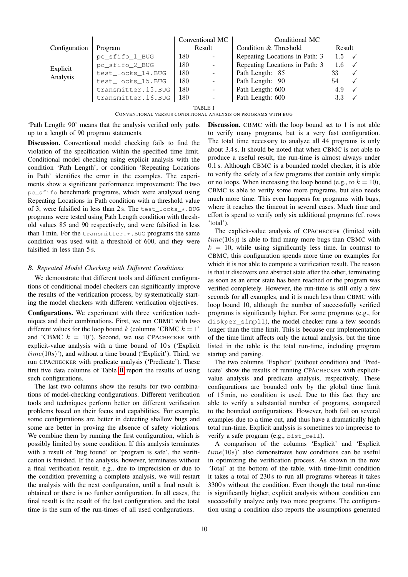|                      |                    | Conventional MC |                          | Conditional MC                 |                        |              |  |
|----------------------|--------------------|-----------------|--------------------------|--------------------------------|------------------------|--------------|--|
| Configuration        | Program            | Result          |                          | Condition & Threshold          | Result                 |              |  |
|                      | pc_sfifo_1_BUG     | 180             | $\sim$                   | Repeating Locations in Path: 3 | $1.5 \quad \checkmark$ |              |  |
| Explicit<br>Analysis | pc_sfifo_2_BUG     | 180             | $\bar{\phantom{a}}$      | Repeating Locations in Path: 3 | 1.6                    |              |  |
|                      | test_locks_14.BUG  | 180             | $\overline{\phantom{a}}$ | Path Length: 85                | 33                     |              |  |
|                      | test_locks_15.BUG  | 180             | $\overline{\phantom{a}}$ | Path Length: 90                | 54                     |              |  |
|                      | transmitter.15.BUG | 180             | $\overline{\phantom{a}}$ | Path Length: 600               | 4.9                    | $\checkmark$ |  |
|                      | transmitter.16.BUG | 180             | $\overline{\phantom{a}}$ | Path Length: 600               | 3.3 <sub>z</sub>       |              |  |

TABLE I

CONVENTIONAL VERSUS CONDITIONAL ANALYSIS ON PROGRAMS WITH BUG

<span id="page-10-0"></span>'Path Length: 90' means that the analysis verified only paths up to a length of 90 program statements.

Discussion. Conventional model checking fails to find the violation of the specification within the specified time limit. Conditional model checking using explicit analysis with the condition 'Path Length', or condition 'Repeating Locations in Path' identifies the error in the examples. The experiments show a significant performance improvement: The two pc\_sfifo benchmark programs, which were analyzed using Repeating Locations in Path condition with a threshold value of 3, were falsified in less than 2 s. The test\_locks\_\*.BUG programs were tested using Path Length condition with threshold values 85 and 90 respectively, and were falsified in less than 1 min. For the transmitter. \*. BUG programs the same condition was used with a threshold of 600, and they were falsified in less than 5 s.

# *B. Repeated Model Checking with Different Conditions*

We demonstrate that different tools and different configurations of conditional model checkers can significantly improve the results of the verification process, by systematically starting the model checkers with different verification objectives. Configurations. We experiment with three verification techniques and their combinations. First, we run CBMC with two different values for the loop bound k (columns 'CBMC  $k = 1$ ' and 'CBMC  $k = 10$ '). Second, we use CPACHECKER with explicit-value analysis with a time bound of 10s ('Explicit  $time(10s)$ , and without a time bound ('Explicit'). Third, we run CPACHECKER with predicate analysis ('Predicate'). These first five data columns of Table [II](#page-11-0) report the results of using such configurations.

The last two columns show the results for two combinations of model-checking configurations. Different verification tools and techniques perform better on different verification problems based on their focus and capabilities. For example, some configurations are better in detecting shallow bugs and some are better in proving the absence of safety violations. We combine them by running the first configuration, which is possibly limited by some condition. If this analysis terminates with a result of 'bug found' or 'program is safe', the verification is finished. If the analysis, however, terminates without a final verification result, e.g., due to imprecision or due to the condition preventing a complete analysis, we will restart the analysis with the next configuration, until a final result is obtained or there is no further configuration. In all cases, the final result is the result of the last configuration, and the total time is the sum of the run-times of all used configurations.

Discussion. CBMC with the loop bound set to 1 is not able to verify many programs, but is a very fast configuration. The total time necessary to analyze all 44 programs is only about 3.4 s. It should be noted that when CBMC is not able to produce a useful result, the run-time is almost always under 0.1 s. Although CBMC is a bounded model checker, it is able to verify the safety of a few programs that contain only simple or no loops. When increasing the loop bound (e.g., to  $k = 10$ ), CBMC is able to verify some more programs, but also needs much more time. This even happens for programs with bugs, where it reaches the timeout in several cases. Much time and effort is spend to verify only six additional programs (cf. rows 'total').

The explicit-value analysis of CPACHECKER (limited with  $time(10s)$ ) is able to find many more bugs than CBMC with  $k = 10$ , while using significantly less time. In contrast to CBMC, this configuration spends more time on examples for which it is not able to compute a verification result. The reason is that it discovers one abstract state after the other, terminating as soon as an error state has been reached or the program was verified completely. However, the run-time is still only a few seconds for all examples, and it is much less than CBMC with loop bound 10, although the number of successfully verified programs is significantly higher. For some programs (e.g., for diskper simpl1), the model checker runs a few seconds longer than the time limit. This is because our implementation of the time limit affects only the actual analysis, but the time listed in the table is the total run-time, including program startup and parsing.

The two columns 'Explicit' (without condition) and 'Predicate' show the results of running CPACHECKER with explicitvalue analysis and predicate analysis, respectively. These configurations are bounded only by the global time limit of 15 min, no condition is used. Due to this fact they are able to verify a substantial number of programs, compared to the bounded configurations. However, both fail on several examples due to a time out, and thus have a dramatically high total run-time. Explicit analysis is sometimes too imprecise to verify a safe program (e.g., bist\_cell).

A comparison of the columns 'Explicit' and 'Explicit  $time(10s)$ ' also demonstrates how conditions can be useful in optimizing the verification process. As shown in the row 'Total' at the bottom of the table, with time-limit condition it takes a total of 230 s to run all programs whereas it takes 3300 s without the condition. Even though the total run-time is significantly higher, explicit analysis without condition can successfully analyze only two more programs. The configuration using a condition also reports the assumptions generated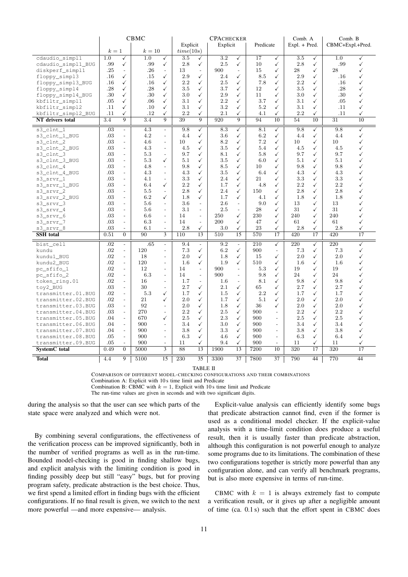|                    | <b>CBMC</b> |                             |        | <b>CPACHECKER</b>        |           |                          |          |                          | Comb. A   |                          |                 | Comb. B      |                  |                 |
|--------------------|-------------|-----------------------------|--------|--------------------------|-----------|--------------------------|----------|--------------------------|-----------|--------------------------|-----------------|--------------|------------------|-----------------|
|                    |             |                             |        |                          | Explicit  |                          | Explicit |                          | Predicate |                          | $Expl. + Pred.$ |              | CBMC+Expl.+Pred. |                 |
|                    | $k=1$       |                             | $k=10$ |                          | time(10s) |                          |          |                          |           |                          |                 |              |                  |                 |
| cdaudio_simpl1     | 1.0         | ✓                           | 1.0    | $\checkmark$             | 3.5       | ✓                        | $3.2\,$  | ✓                        | 17        | ✓                        | 3.5             | ✓            | 1.0              | ✓               |
| cdaudio_simpl1_BUG | .99         | ✓                           | .99    | $\checkmark$             | 2.8       | ✓                        | 2.5      | $\checkmark$             | 10        | ✓                        | 2.8             | ✓            | .99              | $\checkmark$    |
| diskperf_simpl1    | .25         | $\sim$                      | .26    | $\overline{a}$           | 13        | $\overline{\phantom{a}}$ | 900      | $\overline{\phantom{a}}$ | 15        | ✓                        | 28              | ✓            | 28               | √               |
| floppy_simpl3      | .16         | $\checkmark$                | .15    | $\checkmark$             | 2.9       | ✓                        | 2.4      | ✓                        | 8.5       | ✓                        | 2.9             | ✓            | .16              | ✓               |
| floppy_simpl3_BUG  | .16         | ✓                           | .16    | $\checkmark$             | 2.2       | ✓                        | 2.5      | ✓                        | 7.8       | ✓                        | 2.2             | ✓            | .16              | ✓               |
| floppy_simpl4      | .28         | $\checkmark$                | .28    | $\checkmark$             | 3.5       | ✓                        | 3.7      | ✓                        | 12        | ✓                        | 3.5             | ✓            | .28              | ✓               |
| floppy_simpl4_BUG  | .30         | ✓                           | .30    | $\checkmark$             | 3.0       | ✓                        | 2.9      | ✓                        | 11        | ✓                        | 3.0             | ✓            | .30              | ✓               |
| kbfiltr_simpl1     | .05         | ✓                           | .06    | ✓                        | 3.1       | $\checkmark$             | 2.2      | ✓                        | 3.7       | ✓                        | 3.1             | ✓            | .05              | ✓               |
| kbfiltr_simpl2     | .11         | $\checkmark$                | .10    | $\checkmark$             | 3.1       | ✓                        | 3.2      | $\checkmark$             | 5.2       | ✓                        | 3.1             | ✓            | .11              | ✓               |
| kbfiltr_simpl2_BUG | .11         | ✓                           | .12    | ✓                        | 2.2       | ✓                        | 2.1      | ✓                        | 4.1       | ✓                        | 2.2             | ✓            | .11              | ✓               |
| NT drivers total   | 3.4         | $\overline{9}$              | 3.4    | $\overline{9}$           | 39        | $\overline{9}$           | 920      | $\overline{9}$           | 94        | 10                       | 54              | 10           | $\overline{31}$  | $\overline{10}$ |
| s3 clnt 1          | .03         | $\overline{\phantom{a}}$    | 4.3    | ÷.                       | 9.8       | ✓                        | 8.3      | $\checkmark$             | 8.1       | ✓                        | 9.8             | ✓            | 9.8              | ✓               |
| s3_clnt_1_BUG      | .03         | $\overline{\phantom{a}}$    | 4.2    | $\overline{a}$           | 4.4       | ✓                        | 3.6      | ✓                        | 6.2       | ✓                        | 4.4             | ✓            | 4.4              | $\checkmark$    |
| s3_clnt_2          | .03         | $\overline{\phantom{a}}$    | 4.6    | $\overline{a}$           | 10        | ✓                        | 8.2      | $\checkmark$             | 7.2       | ✓                        | 10              | ✓            | 10               | ✓               |
| s3_clnt_2_BUG      | .03         | $\overline{\phantom{a}}$    | 4.3    | $\overline{a}$           | 4.5       | ✓                        | 3.5      | ✓                        | 5.4       | ✓                        | 4.5             | ✓            | 4.5              | ✓               |
| s3_clnt_3          | .03         | $\overline{\phantom{a}}$    | 5.3    | $\overline{a}$           | 9.7       | ✓                        | 8.1      | $\checkmark$             | 5.8       | ✓                        | 9.7             | ✓            | 9.7              | $\checkmark$    |
| s3_clnt_3_BUG      | .03         | $\mathbf{r}$                | 5.3    | ✓                        | 5.1       | ✓                        | 3.5      | ✓                        | 6.0       | ✓                        | 5.1             | ✓            | 5.1              | $\checkmark$    |
| s3_clnt_4          | .03         | $\overline{\phantom{a}}$    | 4.8    | L.                       | 9.8       | ✓                        | 8.5      | ✓                        | 10        | ✓                        | 9.8             | ✓            | 9.8              | $\checkmark$    |
| s3_clnt_4_BUG      | .03         | $\overline{\phantom{a}}$    | 4.3    | $\frac{1}{2}$            | 4.3       | ✓                        | 3.5      | ✓                        | 6.4       | ✓                        | 4.3             | ✓            | 4.3              | ✓               |
| $s3$ _ $srvr_1$    | .03         | $\blacksquare$              | 4.1    | ÷,                       | 3.3       | ✓                        | 2.4      | ✓                        | 21        | ✓                        | 3.3             | ✓            | 3.3              | ✓               |
| s3_srvr_1_BUG      | .03         | $\overline{\phantom{a}}$    | 6.4    | $\checkmark$             | 2.2       | ✓                        | 1.7      | $\checkmark$             | 4.8       | ✓                        | 2.2             | ✓            | 2.2              | ✓               |
| s3_srvr_2          | .03         | $\overline{\phantom{a}}$    | 5.5    | L.                       | 2.8       | ✓                        | 2.4      | ✓                        | 150       | ✓                        | 2.8             | ✓            | 2.8              | ✓               |
| s3_srvr_2_BUG      | .03         | $\mathcal{L}$               | 6.2    | ✓                        | 1.8       | ✓                        | 1.7      | ✓                        | 4.1       | ✓                        | 1.8             | ✓            | 1.8              | ✓               |
| s3_srvr_3          | .03         | $\overline{\phantom{a}}$    | 5.6    | $\overline{a}$           | 3.6       | $\overline{\phantom{a}}$ | 2.6      | $\overline{a}$           | 9.0       | ✓                        | 13              | ✓            | 13               |                 |
| s3_srvr_4          | .03         | $\blacksquare$              | 5.6    | L,                       | 3.1       | $\overline{\phantom{a}}$ | 2.5      | $\overline{\phantom{a}}$ | 28        | ✓                        | 31              | ✓            | 31               | ✓               |
| s3_srvr_6          | .03         | $\overline{\phantom{a}}$    | 6.6    | $\frac{1}{2}$            | 14        | $\overline{\phantom{a}}$ | 250      | $\checkmark$             | 230       | ✓                        | 240             | ✓            | 240              | ✓               |
| s3_srvr_7          | .03         | $\overline{\phantom{a}}$    | 6.3    | $\overline{a}$           | 14        | $\overline{a}$           | 200      | ✓                        | 47        | ✓                        | 61              | ✓            | 61               | ✓               |
| s3_srvr_8          | .03         | $\overline{a}$              | 6.1    | $\overline{\phantom{a}}$ | 2.8       | $\checkmark$             | 3.0      | ✓                        | 23        | ✓                        | 2.8             | ✓            | 2.8              | ✓               |
| <b>SSH</b> total   | 0.51        | $\mathbf{0}$                | 90     | $\overline{3}$           | 110       | 13                       | 510      | 15                       | 570       | 17                       | 420             | 17           | 420              | $\overline{17}$ |
| bist cell          | .02         | $\mathbb{L}$                | .65    | L.                       | 9.4       | $\blacksquare$           | 9.2      | $\overline{\phantom{a}}$ | 210       | $\checkmark$             | 220             | $\checkmark$ | 220              | ✓               |
| kundu              | .02         | $\overline{\phantom{a}}$    | 120    | $\overline{a}$           | 7.3       | $\checkmark$             | 6.2      | $\checkmark$             | 900       | $\overline{\phantom{a}}$ | 7.3             | ✓            | 7.3              | $\checkmark$    |
| kundu1 BUG         | .02         | $\blacksquare$              | 18     | $\overline{a}$           | 2.0       | ✓                        | 1.8      | ✓                        | 15        | ✓                        | 2.0             | ✓            | 2.0              | ✓               |
| kundu2_BUG         | .02         | $\overline{\phantom{a}}$    | 120    | $\overline{a}$           | 1.6       | ✓                        | 1.9      | ✓                        | 510       | ✓                        | 1.6             | ✓            | 1.6              | √               |
| pc_sfifo_1         | .02         | $\mathcal{L}_{\mathcal{A}}$ | 12     | $\overline{a}$           | 14        | $\frac{1}{2}$            | 900      | ÷,                       | 5.3       | ✓                        | 19              | ✓            | 19               | ✓               |
| pc_sfifo_2         | .02         | $\mathbf{r}$                | 6.3    | ÷,                       | 14        | $\overline{\phantom{a}}$ | 900      | ٠                        | 9.8       | ✓                        | 24              | ✓            | 24               | ✓               |
| token_ring.01      | .02         | $\overline{\phantom{a}}$    | 16     | $\overline{a}$           | 1.7       | $\overline{\phantom{a}}$ | 1.6      | ÷,                       | 8.1       | ✓                        | 9.8             | ✓            | 9.8              | ✓               |
| toy2_BUG           | .03         | $\mathbf{r}$                | 30     | $\overline{\phantom{a}}$ | 2.7       | ✓                        | 2.1      | $\checkmark$             | 65        | ✓                        | 2.7             | ✓            | 2.7              |                 |
| transmitter.01.BUG | .02         | $\mathcal{L}$               | 5.3    | ✓                        | 1.7       | ✓                        | 1.5      | ✓                        | 2.2       | ✓                        | 1.7             | ✓            | 1.7              | $\checkmark$    |
| transmitter.02.BUG | .02         | $\overline{\phantom{a}}$    | 21     | $\checkmark$             | 2.0       | ✓                        | 1.7      | $\checkmark$             | 5.1       | ✓                        | 2.0             | ✓            | 2.0              | ✓               |
| transmitter.03.BUG | .03         | $\overline{\phantom{a}}$    | 92     | ÷.                       | 2.0       | ✓                        | 1.8      | ✓                        | 36        | ✓                        | 2.0             | ✓            | 2.0              | ✓               |
| transmitter.04.BUG | .03         | $\overline{\phantom{a}}$    | 270    | $\overline{a}$           | 2.2       | ✓                        | 2.5      | $\checkmark$             | 900       | L.                       | 2.2             | ✓            | 2.2              | ✓               |
| transmitter.05.BUG | .04         | $\mathcal{L}$               | 670    | ✓                        | 2.5       | ✓                        | $2.3\,$  | ✓                        | 900       | $\overline{a}$           | 2.5             | ✓            | 2.5              | ✓               |
| transmitter.06.BUG | .04         | $\overline{a}$              | 900    | ÷,                       | 3.4       | ✓                        | 3.0      | ✓                        | 900       | L.                       | 3.4             | ✓            | 3.4              | ✓               |
| transmitter.07.BUG | .04         | $\mathcal{L}$               | 900    | ÷,                       | 3.8       | ✓                        | $3.3\,$  | ✓                        | 900       | $\overline{a}$           | 3.8             | ✓            | 3.8              | ✓               |
| transmitter.08.BUG | .05         | $\overline{\phantom{a}}$    | 900    | $\overline{\phantom{0}}$ | 6.3       | ✓                        | 4.6      | ✓                        | 900       | $\overline{\phantom{a}}$ | 6.3             | ✓            | 6.4              | ✓               |
| transmitter.09.BUG | .05         | $\overline{\phantom{a}}$    | 900    | $\overline{\phantom{a}}$ | 11        | ✓                        | 9.4      | ✓                        | 900       | $\overline{\phantom{a}}$ | 11              | ✓            | 11               | ✓               |
| SystemC total      | 0.49        | $\mathbf{0}$                | 5000   | 3                        | 88        | 13                       | 1900     | 13                       | 7200      | 10                       | 320             | 17           | 320              | 17              |
| <b>Total</b>       | 4.4         | 9                           | 5100   | 15                       | 230       | 35                       | 3300     | 37                       | 7800      | 37                       | 790             | 44           | 770              | 44              |

TABLE II

COMPARISON OF DIFFERENT MODEL-CHECKING CONFIGURATIONS AND THEIR COMBINATIONS

Combination A: Explicit with 10 s time limit and Predicate Combination B: CBMC with  $k = 1$ , Explicit with 10s time limit and Predicate

The run-time values are given in seconds and with two significant digits.

<span id="page-11-0"></span>during the analysis so that the user can see which parts of the state space were analyzed and which were not.

By combining several configurations, the effectiveness of the verification process can be improved significantly, both in the number of verified programs as well as in the run-time. Bounded model-checking is good in finding shallow bugs, and explicit analysis with the limiting condition is good in finding possibly deep but still "easy" bugs, but for proving program safety, predicate abstraction is the best choice. Thus, we first spend a limited effort in finding bugs with the efficient configurations. If no final result is given, we switch to the next more powerful —and more expensive— analysis.

Explicit-value analysis can efficiently identify some bugs that predicate abstraction cannot find, even if the former is used as a conditional model checker. If the explicit-value analysis with a time-limit condition does produce a useful result, then it is usually faster than predicate abstraction, although this configuration is not powerful enough to analyze some programs due to its limitations. The combination of these two configurations together is strictly more powerful than any configuration alone, and can verify all benchmark programs, but is also more expensive in terms of run-time.

CBMC with  $k = 1$  is always extremely fast to compute a verification result, or it gives up after a negligible amount of time (ca. 0.1 s) such that the effort spent in CBMC does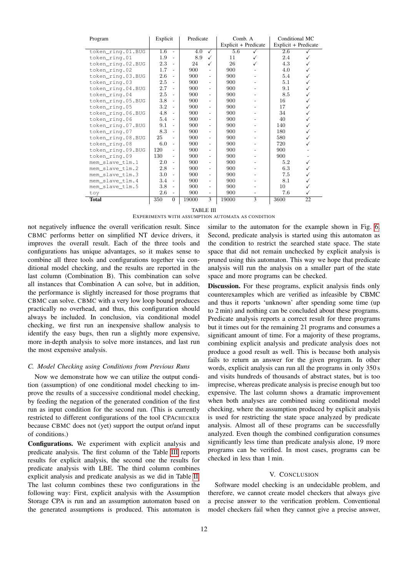| Program           | Explicit         |                          | Predicate |                          | Comb. A              |                | Conditional MC       |    |  |
|-------------------|------------------|--------------------------|-----------|--------------------------|----------------------|----------------|----------------------|----|--|
|                   |                  |                          |           |                          | Explicit + Predicate |                | Explicit + Predicate |    |  |
| token_ring.01.BUG | $\overline{1.6}$ | $\overline{\phantom{a}}$ | 4.0       | ✓                        | 5.6                  |                | 2.6                  |    |  |
| token_ring.01     | 1.9              | $\sim$                   | 8.9       | ✓                        | 11                   | ✓              | 2.4                  | ✓  |  |
| token_ring.02.BUG | 2.3              | $\sim$                   | 24        | ✓                        | 26                   |                | 4.3                  | ✓  |  |
| token_ring.02     | 1.7              | $\overline{\phantom{a}}$ | 900       | $\overline{\phantom{a}}$ | 900                  |                | 4.0                  | ✓  |  |
| token_ring.03.BUG | 2.6              | $\overline{a}$           | 900       | $\overline{\phantom{a}}$ | 900                  |                | 5.4                  | ✓  |  |
| token_ring.03     | 2.5              | $\sim$                   | 900       | ٠                        | 900                  |                | 5.1                  | ✓  |  |
| token ring.04.BUG | 2.7              | $\overline{\phantom{a}}$ | 900       | ÷                        | 900                  |                | 9.1                  | ✓  |  |
| token_ring.04     | 2.5              | $\overline{a}$           | 900       | $\overline{\phantom{a}}$ | 900                  |                | 8.5                  | ✓  |  |
| token_ring.05.BUG | 3.8              | $\sim$                   | 900       | $\overline{\phantom{a}}$ | 900                  |                | 16                   | ✓  |  |
| token_ring.05     | $3.2\,$          | ٠                        | 900       | $\overline{a}$           | 900                  |                | 17                   | ✓  |  |
| token_ring.06.BUG | 4.8              | $\overline{a}$           | 900       | $\overline{\phantom{a}}$ | 900                  |                | 34                   | ✓  |  |
| token_ring.06     | 5.4              | ٠                        | 900       | $\overline{\phantom{a}}$ | 900                  |                | 40                   | ✓  |  |
| token_ring.07.BUG | 9.1              |                          | 900       | ٠                        | 900                  |                | 140                  | ✓  |  |
| token_ring.07     | 8.3              | ٠                        | 900       | ÷                        | 900                  |                | 180                  | ✓  |  |
| token_ring.08.BUG | 25               | ÷.                       | 900       | $\overline{\phantom{a}}$ | 900                  |                | 580                  | ✓  |  |
| token_ring.08     | 6.0              | $\overline{\phantom{a}}$ | 900       | ٠                        | 900                  |                | 720                  |    |  |
| token_ring.09.BUG | 120              |                          | 900       | ٠                        | 900                  |                | 900                  |    |  |
| token_ring.09     | 130              | ٠                        | 900       | $\overline{\phantom{a}}$ | 900                  |                | 900                  |    |  |
| mem_slave_tlm.1   | 2.0              | ٠                        | 900       | $\overline{a}$           | 900                  |                | 5.2                  | ✓  |  |
| mem_slave_tlm.2   | $2.8\,$          | ٠                        | 900       | ٠                        | 900                  |                | 6.3                  | ✓  |  |
| mem_slave_tlm.3   | 3.0              | ٠                        | 900       | $\overline{a}$           | 900                  |                | 7.5                  | ✓  |  |
| mem slave tlm.4   | 3.4              | ٠                        | 900       | ٠                        | 900                  | $\overline{a}$ | 8.1                  | ✓  |  |
| mem slave tlm.5   | 3.8              | ٠                        | 900       | ٠                        | 900                  |                | 10                   | ✓  |  |
| toy               | 2.6              |                          | 900       | $\overline{\phantom{a}}$ | 900                  |                | 7.6                  | ✓  |  |
| <b>Total</b>      | 350              | $\Omega$                 | 19000     | $\mathcal{E}$            | 19000                | $\mathcal{E}$  | 3600                 | 22 |  |

TABLE III

#### EXPERIMENTS WITH ASSUMPTION AUTOMATA AS CONDITION

<span id="page-12-0"></span>not negatively influence the overall verification result. Since CBMC performs better on simplified NT device drivers, it improves the overall result. Each of the three tools and configurations has unique advantages, so it makes sense to combine all three tools and configurations together via conditional model checking, and the results are reported in the last column (Combination B). This combination can solve all instances that Combination A can solve, but in addition, the performance is slightly increased for those programs that CBMC can solve. CBMC with a very low loop bound produces practically no overhead, and thus, this configuration should always be included. In conclusion, via conditional model checking, we first run an inexpensive shallow analysis to identify the easy bugs, then run a slightly more expensive, more in-depth analysis to solve more instances, and last run the most expensive analysis.

#### *C. Model Checking using Conditions from Previous Runs*

Now we demonstrate how we can utilize the output condition (assumption) of one conditional model checking to improve the results of a successive conditional model checking, by feeding the negation of the generated condition of the first run as input condition for the second run. (This is currently restricted to different configurations of the tool CPACHECKER because CBMC does not (yet) support the output or/and input of conditions.)

Configurations. We experiment with explicit analysis and predicate analysis. The first column of the Table [III](#page-12-0) reports results for explicit analysis, the second one the results for predicate analysis with LBE. The third column combines explicit analysis and predicate analysis as we did in Table [II.](#page-11-0) The last column combines these two configurations in the following way: First, explicit analysis with the Assumption Storage CPA is run and an assumption automaton based on the generated assumptions is produced. This automaton is

similar to the automaton for the example shown in Fig. [6.](#page-4-1) Second, predicate analysis is started using this automaton as the condition to restrict the searched state space. The state space that did not remain unchecked by explicit analysis is pruned using this automaton. This way we hope that predicate analysis will run the analysis on a smaller part of the state space and more programs can be checked.

Discussion. For these programs, explicit analysis finds only counterexamples which are verified as infeasible by CBMC and thus it reports 'unknown' after spending some time (up to 2 min) and nothing can be concluded about these programs. Predicate analysis reports a correct result for three programs but it times out for the remaining 21 programs and consumes a significant amount of time. For a majority of these programs, combining explicit analysis and predicate analysis does not produce a good result as well. This is because both analysis fails to return an answer for the given program. In other words, explicit analysis can run all the programs in only 350 s and visits hundreds of thousands of abstract states, but is too imprecise, whereas predicate analysis is precise enough but too expensive. The last column shows a dramatic improvement when both analyses are combined using conditional model checking, where the assumption produced by explicit analysis is used for restricting the state space analyzed by predicate analysis. Almost all of these programs can be successfully analyzed. Even though the combined configuration consumes significantly less time than predicate analysis alone, 19 more programs can be verified. In most cases, programs can be checked in less than 1 min.

#### V. CONCLUSION

Software model checking is an undecidable problem, and therefore, we cannot create model checkers that always give a precise answer to the verification problem. Conventional model checkers fail when they cannot give a precise answer,